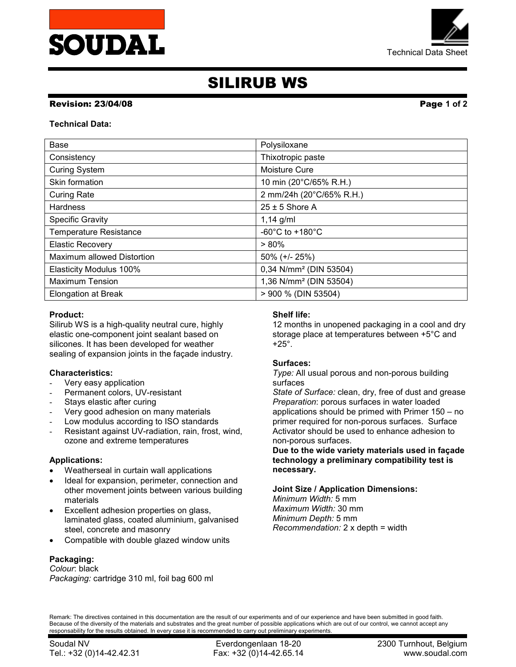



# SILIRUB WS

### Revision: 23/04/08 Page 1 of 2

#### Technical Data:

| <b>Base</b>                    | Polysiloxane                          |
|--------------------------------|---------------------------------------|
| Consistency                    | Thixotropic paste                     |
| <b>Curing System</b>           | Moisture Cure                         |
| Skin formation                 | 10 min (20°C/65% R.H.)                |
| <b>Curing Rate</b>             | 2 mm/24h (20°C/65% R.H.)              |
| <b>Hardness</b>                | $25 \pm 5$ Shore A                    |
| <b>Specific Gravity</b>        | $1,14$ g/ml                           |
| <b>Temperature Resistance</b>  | -60 $^{\circ}$ C to +180 $^{\circ}$ C |
| <b>Elastic Recovery</b>        | $> 80\%$                              |
| Maximum allowed Distortion     | 50% (+/- 25%)                         |
| <b>Elasticity Modulus 100%</b> | 0,34 N/mm <sup>2</sup> (DIN 53504)    |
| <b>Maximum Tension</b>         | 1,36 N/mm <sup>2</sup> (DIN 53504)    |
| <b>Elongation at Break</b>     | > 900 % (DIN 53504)                   |

# Product:

Silirub WS is a high-quality neutral cure, highly elastic one-component joint sealant based on silicones. It has been developed for weather sealing of expansion joints in the façade industry.

# Characteristics:

- Very easy application
- Permanent colors, UV-resistant
- Stays elastic after curing
- Very good adhesion on many materials
- Low modulus according to ISO standards
- Resistant against UV-radiation, rain, frost, wind, ozone and extreme temperatures

#### Applications:

- Weatherseal in curtain wall applications
- Ideal for expansion, perimeter, connection and other movement joints between various building materials
- Excellent adhesion properties on glass, laminated glass, coated aluminium, galvanised steel, concrete and masonry
- Compatible with double glazed window units

# Packaging:

Colour: black Packaging: cartridge 310 ml, foil bag 600 ml

#### Shelf life:

12 months in unopened packaging in a cool and dry storage place at temperatures between +5°C and +25°.

#### Surfaces:

Type: All usual porous and non-porous building surfaces

State of Surface: clean, dry, free of dust and grease Preparation: porous surfaces in water loaded applications should be primed with Primer 150 – no primer required for non-porous surfaces. Surface Activator should be used to enhance adhesion to non-porous surfaces.

Due to the wide variety materials used in façade technology a preliminary compatibility test is necessary.

#### Joint Size / Application Dimensions:

Minimum Width: 5 mm Maximum Width: 30 mm Minimum Depth: 5 mm Recommendation: 2 x depth = width

Remark: The directives contained in this documentation are the result of our experiments and of our experience and have been submitted in good faith. Because of the diversity of the materials and substrates and the great number of possible applications which are out of our control, we cannot accept any responsability for the results obtained. In every case it is recommended to carry out preliminary experiments.

Tel.: +32 (0)14-42.42.31 Fax: +32 (0)14-42.65.14 www.soudal.com